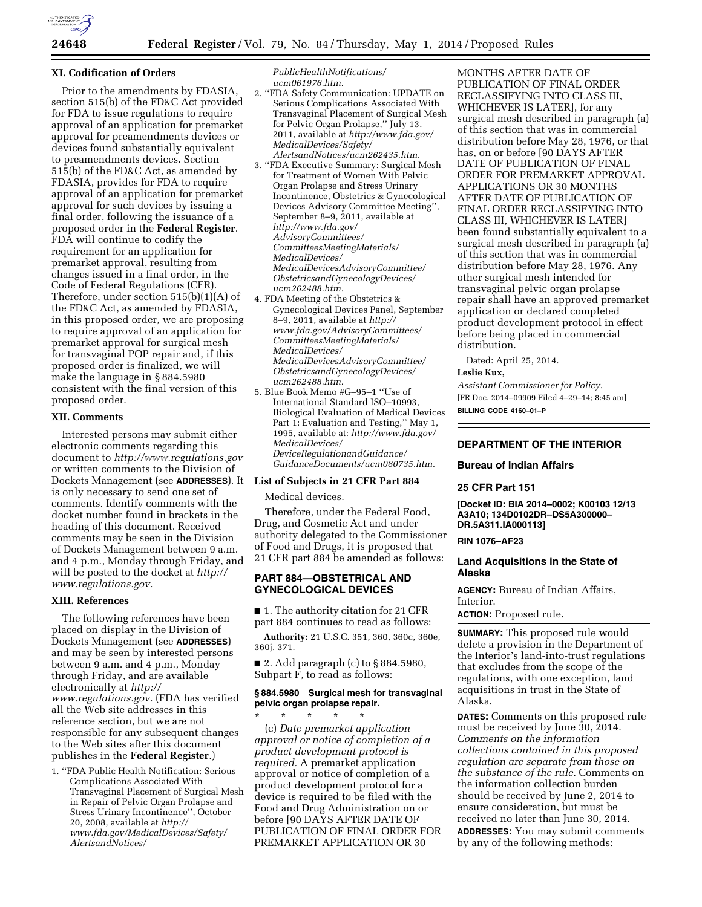

### **XI. Codification of Orders**

Prior to the amendments by FDASIA, section 515(b) of the FD&C Act provided for FDA to issue regulations to require approval of an application for premarket approval for preamendments devices or devices found substantially equivalent to preamendments devices. Section 515(b) of the FD&C Act, as amended by FDASIA, provides for FDA to require approval of an application for premarket approval for such devices by issuing a final order, following the issuance of a proposed order in the **Federal Register**. FDA will continue to codify the requirement for an application for premarket approval, resulting from changes issued in a final order, in the Code of Federal Regulations (CFR). Therefore, under section 515(b)(1)(A) of the FD&C Act, as amended by FDASIA, in this proposed order, we are proposing to require approval of an application for premarket approval for surgical mesh for transvaginal POP repair and, if this proposed order is finalized, we will make the language in § 884.5980 consistent with the final version of this proposed order.

### **XII. Comments**

Interested persons may submit either electronic comments regarding this document to *<http://www.regulations.gov>* or written comments to the Division of Dockets Management (see **ADDRESSES**). It is only necessary to send one set of comments. Identify comments with the docket number found in brackets in the heading of this document. Received comments may be seen in the Division of Dockets Management between 9 a.m. and 4 p.m., Monday through Friday, and will be posted to the docket at *[http://](http://www.regulations.gov) [www.regulations.gov.](http://www.regulations.gov)* 

#### **XIII. References**

The following references have been placed on display in the Division of Dockets Management (see **ADDRESSES**) and may be seen by interested persons between 9 a.m. and 4 p.m., Monday through Friday, and are available electronically at *[http://](http://www.regulations.gov) [www.regulations.gov.](http://www.regulations.gov)* (FDA has verified all the Web site addresses in this reference section, but we are not responsible for any subsequent changes to the Web sites after this document publishes in the **Federal Register**.)

1. ''FDA Public Health Notification: Serious Complications Associated With Transvaginal Placement of Surgical Mesh in Repair of Pelvic Organ Prolapse and Stress Urinary Incontinence'', October 20, 2008, available at *[http://](http://www.fda.gov/MedicalDevices/Safety/AlertsandNotices/PublicHealthNotifications/ucm061976.htm) [www.fda.gov/MedicalDevices/Safety/](http://www.fda.gov/MedicalDevices/Safety/AlertsandNotices/PublicHealthNotifications/ucm061976.htm) [AlertsandNotices/](http://www.fda.gov/MedicalDevices/Safety/AlertsandNotices/PublicHealthNotifications/ucm061976.htm)*

*[PublicHealthNotifications/](http://www.fda.gov/MedicalDevices/Safety/AlertsandNotices/PublicHealthNotifications/ucm061976.htm) [ucm061976.htm.](http://www.fda.gov/MedicalDevices/Safety/AlertsandNotices/PublicHealthNotifications/ucm061976.htm)* 

- 2. ''FDA Safety Communication: UPDATE on Serious Complications Associated With Transvaginal Placement of Surgical Mesh for Pelvic Organ Prolapse,'' July 13, 2011, available at *[http://www.fda.gov/](http://www.fda.gov/MedicalDevices/Safety/AlertsandNotices/ucm262435.htm) [MedicalDevices/Safety/](http://www.fda.gov/MedicalDevices/Safety/AlertsandNotices/ucm262435.htm) [AlertsandNotices/ucm262435.htm.](http://www.fda.gov/MedicalDevices/Safety/AlertsandNotices/ucm262435.htm)*
- 3. ''FDA Executive Summary: Surgical Mesh for Treatment of Women With Pelvic Organ Prolapse and Stress Urinary Incontinence, Obstetrics & Gynecological Devices Advisory Committee Meeting'', September 8–9, 2011, available at *[http://www.fda.gov/](http://www.fda.gov/AdvisoryCommittees/CommitteesMeetingMaterials/MedicalDevices/MedicalDevicesAdvisoryCommittee/ObstetricsandGynecologyDevices/ucm262488.htm) [AdvisoryCommittees/](http://www.fda.gov/AdvisoryCommittees/CommitteesMeetingMaterials/MedicalDevices/MedicalDevicesAdvisoryCommittee/ObstetricsandGynecologyDevices/ucm262488.htm) [CommitteesMeetingMaterials/](http://www.fda.gov/AdvisoryCommittees/CommitteesMeetingMaterials/MedicalDevices/MedicalDevicesAdvisoryCommittee/ObstetricsandGynecologyDevices/ucm262488.htm) [MedicalDevices/](http://www.fda.gov/AdvisoryCommittees/CommitteesMeetingMaterials/MedicalDevices/MedicalDevicesAdvisoryCommittee/ObstetricsandGynecologyDevices/ucm262488.htm) [MedicalDevicesAdvisoryCommittee/](http://www.fda.gov/AdvisoryCommittees/CommitteesMeetingMaterials/MedicalDevices/MedicalDevicesAdvisoryCommittee/ObstetricsandGynecologyDevices/ucm262488.htm) [ObstetricsandGynecologyDevices/](http://www.fda.gov/AdvisoryCommittees/CommitteesMeetingMaterials/MedicalDevices/MedicalDevicesAdvisoryCommittee/ObstetricsandGynecologyDevices/ucm262488.htm) [ucm262488.htm.](http://www.fda.gov/AdvisoryCommittees/CommitteesMeetingMaterials/MedicalDevices/MedicalDevicesAdvisoryCommittee/ObstetricsandGynecologyDevices/ucm262488.htm)*
- 4. FDA Meeting of the Obstetrics & Gynecological Devices Panel, September 8–9, 2011, available at *[http://](http://www.fda.gov/AdvisoryCommittees/CommitteesMeetingMaterials/MedicalDevices/MedicalDevicesAdvisoryCommittee/ObstetricsandGynecologyDevices/ucm262488.htm) [www.fda.gov/AdvisoryCommittees/](http://www.fda.gov/AdvisoryCommittees/CommitteesMeetingMaterials/MedicalDevices/MedicalDevicesAdvisoryCommittee/ObstetricsandGynecologyDevices/ucm262488.htm) [CommitteesMeetingMaterials/](http://www.fda.gov/AdvisoryCommittees/CommitteesMeetingMaterials/MedicalDevices/MedicalDevicesAdvisoryCommittee/ObstetricsandGynecologyDevices/ucm262488.htm) [MedicalDevices/](http://www.fda.gov/AdvisoryCommittees/CommitteesMeetingMaterials/MedicalDevices/MedicalDevicesAdvisoryCommittee/ObstetricsandGynecologyDevices/ucm262488.htm) [MedicalDevicesAdvisoryCommittee/](http://www.fda.gov/AdvisoryCommittees/CommitteesMeetingMaterials/MedicalDevices/MedicalDevicesAdvisoryCommittee/ObstetricsandGynecologyDevices/ucm262488.htm) [ObstetricsandGynecologyDevices/](http://www.fda.gov/AdvisoryCommittees/CommitteesMeetingMaterials/MedicalDevices/MedicalDevicesAdvisoryCommittee/ObstetricsandGynecologyDevices/ucm262488.htm) [ucm262488.htm.](http://www.fda.gov/AdvisoryCommittees/CommitteesMeetingMaterials/MedicalDevices/MedicalDevicesAdvisoryCommittee/ObstetricsandGynecologyDevices/ucm262488.htm)*
- 5. Blue Book Memo #G–95–1 ''Use of International Standard ISO–10993, Biological Evaluation of Medical Devices Part 1: Evaluation and Testing,'' May 1, 1995, available at: *[http://www.fda.gov/](http://www.fda.gov/MedicalDevices/DeviceRegulationandGuidance/GuidanceDocuments/ucm080735.htm) [MedicalDevices/](http://www.fda.gov/MedicalDevices/DeviceRegulationandGuidance/GuidanceDocuments/ucm080735.htm) [DeviceRegulationandGuidance/](http://www.fda.gov/MedicalDevices/DeviceRegulationandGuidance/GuidanceDocuments/ucm080735.htm) [GuidanceDocuments/ucm080735.htm.](http://www.fda.gov/MedicalDevices/DeviceRegulationandGuidance/GuidanceDocuments/ucm080735.htm)*

#### **List of Subjects in 21 CFR Part 884**

Medical devices.

Therefore, under the Federal Food, Drug, and Cosmetic Act and under authority delegated to the Commissioner of Food and Drugs, it is proposed that 21 CFR part 884 be amended as follows:

# **PART 884—OBSTETRICAL AND GYNECOLOGICAL DEVICES**

■ 1. The authority citation for 21 CFR part 884 continues to read as follows:

**Authority:** 21 U.S.C. 351, 360, 360c, 360e, 360j, 371.

■ 2. Add paragraph (c) to § 884.5980, Subpart F, to read as follows:

# **§ 884.5980 Surgical mesh for transvaginal pelvic organ prolapse repair.**

\* \* \* \* \* (c) *Date premarket application approval or notice of completion of a product development protocol is required.* A premarket application approval or notice of completion of a product development protocol for a device is required to be filed with the Food and Drug Administration on or before [90 DAYS AFTER DATE OF PUBLICATION OF FINAL ORDER FOR PREMARKET APPLICATION OR 30

MONTHS AFTER DATE OF PUBLICATION OF FINAL ORDER RECLASSIFYING INTO CLASS III, WHICHEVER IS LATER], for any surgical mesh described in paragraph (a) of this section that was in commercial distribution before May 28, 1976, or that has, on or before [90 DAYS AFTER DATE OF PUBLICATION OF FINAL ORDER FOR PREMARKET APPROVAL APPLICATIONS OR 30 MONTHS AFTER DATE OF PUBLICATION OF FINAL ORDER RECLASSIFYING INTO CLASS III, WHICHEVER IS LATER] been found substantially equivalent to a surgical mesh described in paragraph (a) of this section that was in commercial distribution before May 28, 1976. Any other surgical mesh intended for transvaginal pelvic organ prolapse repair shall have an approved premarket application or declared completed product development protocol in effect before being placed in commercial distribution.

Dated: April 25, 2014.

#### **Leslie Kux,**

*Assistant Commissioner for Policy.*  [FR Doc. 2014–09909 Filed 4–29–14; 8:45 am] **BILLING CODE 4160–01–P** 

### **DEPARTMENT OF THE INTERIOR**

# **Bureau of Indian Affairs**

#### **25 CFR Part 151**

**[Docket ID: BIA 2014–0002; K00103 12/13 A3A10; 134D0102DR–DS5A300000– DR.5A311.IA000113]** 

# **RIN 1076–AF23**

## **Land Acquisitions in the State of Alaska**

**AGENCY:** Bureau of Indian Affairs, Interior.

**ACTION:** Proposed rule.

**SUMMARY:** This proposed rule would delete a provision in the Department of the Interior's land-into-trust regulations that excludes from the scope of the regulations, with one exception, land acquisitions in trust in the State of Alaska.

**DATES:** Comments on this proposed rule must be received by June 30, 2014. *Comments on the information collections contained in this proposed regulation are separate from those on the substance of the rule.* Comments on the information collection burden should be received by June 2, 2014 to ensure consideration, but must be received no later than June 30, 2014. **ADDRESSES:** You may submit comments by any of the following methods: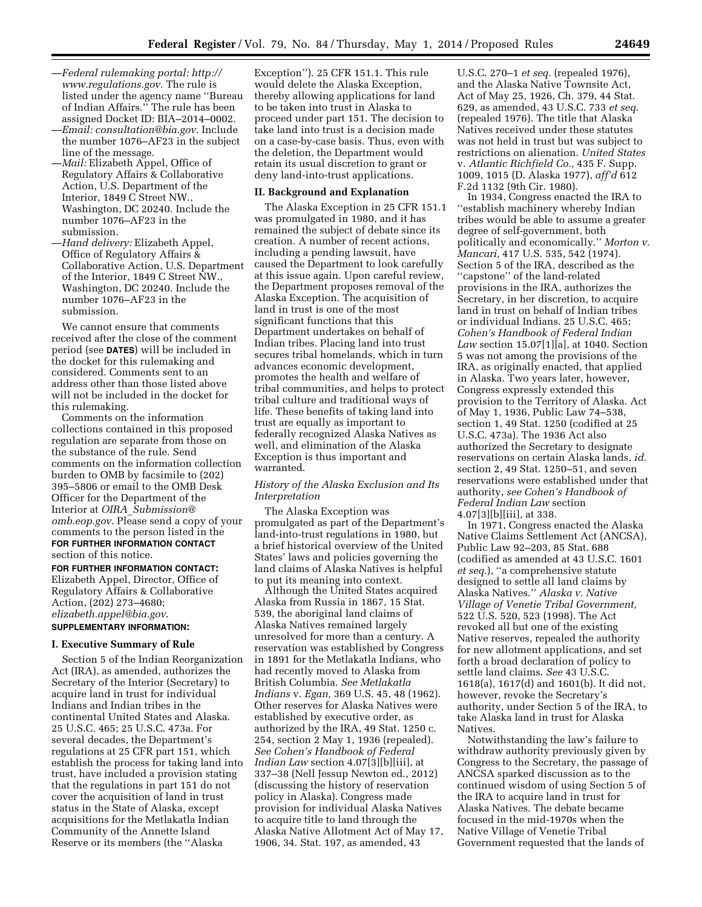- —*Federal rulemaking portal: [http://](http://www.regulations.gov) [www.regulations.gov.](http://www.regulations.gov)* The rule is listed under the agency name ''Bureau of Indian Affairs.'' The rule has been assigned Docket ID: BIA–2014–0002.
- —*Email: [consultation@bia.gov](mailto:consultation@bia.gov)*. Include the number 1076–AF23 in the subject line of the message.
- —*Mail:* Elizabeth Appel, Office of Regulatory Affairs & Collaborative Action, U.S. Department of the Interior, 1849 C Street NW., Washington, DC 20240. Include the number 1076–AF23 in the submission.
- —*Hand delivery:* Elizabeth Appel, Office of Regulatory Affairs & Collaborative Action, U.S. Department of the Interior, 1849 C Street NW., Washington, DC 20240. Include the number 1076–AF23 in the submission.

We cannot ensure that comments received after the close of the comment period (see **DATES**) will be included in the docket for this rulemaking and considered. Comments sent to an address other than those listed above will not be included in the docket for this rulemaking.

Comments on the information collections contained in this proposed regulation are separate from those on the substance of the rule. Send comments on the information collection burden to OMB by facsimile to (202) 395–5806 or email to the OMB Desk Officer for the Department of the Interior at *OIRA*\_*[Submission@](mailto:OIRA_Submission@omb.eop.gov) [omb.eop.gov](mailto:OIRA_Submission@omb.eop.gov)*. Please send a copy of your comments to the person listed in the **FOR FURTHER INFORMATION CONTACT** section of this notice.

**FOR FURTHER INFORMATION CONTACT:**  Elizabeth Appel, Director, Office of Regulatory Affairs & Collaborative Action, (202) 273–4680; *[elizabeth.appel@bia.gov](mailto:elizabeth.appel@bia.gov)*. **SUPPLEMENTARY INFORMATION:** 

# **I. Executive Summary of Rule**

Section 5 of the Indian Reorganization Act (IRA), as amended, authorizes the Secretary of the Interior (Secretary) to acquire land in trust for individual Indians and Indian tribes in the continental United States and Alaska. 25 U.S.C. 465; 25 U.S.C. 473a. For several decades, the Department's regulations at 25 CFR part 151, which establish the process for taking land into trust, have included a provision stating that the regulations in part 151 do not cover the acquisition of land in trust status in the State of Alaska, except acquisitions for the Metlakatla Indian Community of the Annette Island Reserve or its members (the ''Alaska

Exception''). 25 CFR 151.1. This rule would delete the Alaska Exception, thereby allowing applications for land to be taken into trust in Alaska to proceed under part 151. The decision to take land into trust is a decision made on a case-by-case basis. Thus, even with the deletion, the Department would retain its usual discretion to grant or deny land-into-trust applications.

#### **II. Background and Explanation**

The Alaska Exception in 25 CFR 151.1 was promulgated in 1980, and it has remained the subject of debate since its creation. A number of recent actions, including a pending lawsuit, have caused the Department to look carefully at this issue again. Upon careful review, the Department proposes removal of the Alaska Exception. The acquisition of land in trust is one of the most significant functions that this Department undertakes on behalf of Indian tribes. Placing land into trust secures tribal homelands, which in turn advances economic development, promotes the health and welfare of tribal communities, and helps to protect tribal culture and traditional ways of life. These benefits of taking land into trust are equally as important to federally recognized Alaska Natives as well, and elimination of the Alaska Exception is thus important and warranted.

### *History of the Alaska Exclusion and Its Interpretation*

The Alaska Exception was promulgated as part of the Department's land-into-trust regulations in 1980, but a brief historical overview of the United States' laws and policies governing the land claims of Alaska Natives is helpful to put its meaning into context.

Although the United States acquired Alaska from Russia in 1867, 15 Stat. 539, the aboriginal land claims of Alaska Natives remained largely unresolved for more than a century. A reservation was established by Congress in 1891 for the Metlakatla Indians, who had recently moved to Alaska from British Columbia. *See Metlakatla Indians* v. *Egan,* 369 U.S. 45, 48 (1962). Other reserves for Alaska Natives were established by executive order, as authorized by the IRA, 49 Stat. 1250 c. 254, section 2 May 1, 1936 (repealed). *See Cohen's Handbook of Federal Indian Law* section 4.07[3][b][iii], at 337–38 (Nell Jessup Newton ed., 2012) (discussing the history of reservation policy in Alaska). Congress made provision for individual Alaska Natives to acquire title to land through the Alaska Native Allotment Act of May 17, 1906, 34. Stat. 197, as amended, 43

U.S.C. 270–1 *et seq.* (repealed 1976), and the Alaska Native Townsite Act, Act of May 25, 1926, Ch. 379, 44 Stat. 629, as amended, 43 U.S.C. 733 *et seq.*  (repealed 1976). The title that Alaska Natives received under these statutes was not held in trust but was subject to restrictions on alienation. *United States*  v. *Atlantic Richfield Co.,* 435 F. Supp. 1009, 1015 (D. Alaska 1977), *aff'd* 612 F.2d 1132 (9th Cir. 1980).

In 1934, Congress enacted the IRA to ''establish machinery whereby Indian tribes would be able to assume a greater degree of self-government, both politically and economically.'' *Morton v. Mancari,* 417 U.S. 535, 542 (1974). Section 5 of the IRA, described as the "capstone" of the land-related provisions in the IRA, authorizes the Secretary, in her discretion, to acquire land in trust on behalf of Indian tribes or individual Indians. 25 U.S.C. 465; *Cohen's Handbook of Federal Indian Law* section 15.07[1][a], at 1040. Section 5 was not among the provisions of the IRA, as originally enacted, that applied in Alaska. Two years later, however, Congress expressly extended this provision to the Territory of Alaska. Act of May 1, 1936, Public Law 74–538, section 1, 49 Stat. 1250 (codified at 25 U.S.C. 473a). The 1936 Act also authorized the Secretary to designate reservations on certain Alaska lands, *id.*  section 2, 49 Stat. 1250–51, and seven reservations were established under that authority, *see Cohen's Handbook of Federal Indian Law* section 4.07[3][b][iii], at 338.

In 1971, Congress enacted the Alaska Native Claims Settlement Act (ANCSA), Public Law 92–203, 85 Stat. 688 (codified as amended at 43 U.S.C. 1601 *et seq.*), ''a comprehensive statute designed to settle all land claims by Alaska Natives.'' *Alaska v. Native Village of Venetie Tribal Government,*  522 U.S. 520, 523 (1998). The Act revoked all but one of the existing Native reserves, repealed the authority for new allotment applications, and set forth a broad declaration of policy to settle land claims. *See* 43 U.S.C. 1618(a), 1617(d) and 1601(b). It did not, however, revoke the Secretary's authority, under Section 5 of the IRA, to take Alaska land in trust for Alaska Natives.

Notwithstanding the law's failure to withdraw authority previously given by Congress to the Secretary, the passage of ANCSA sparked discussion as to the continued wisdom of using Section 5 of the IRA to acquire land in trust for Alaska Natives. The debate became focused in the mid-1970s when the Native Village of Venetie Tribal Government requested that the lands of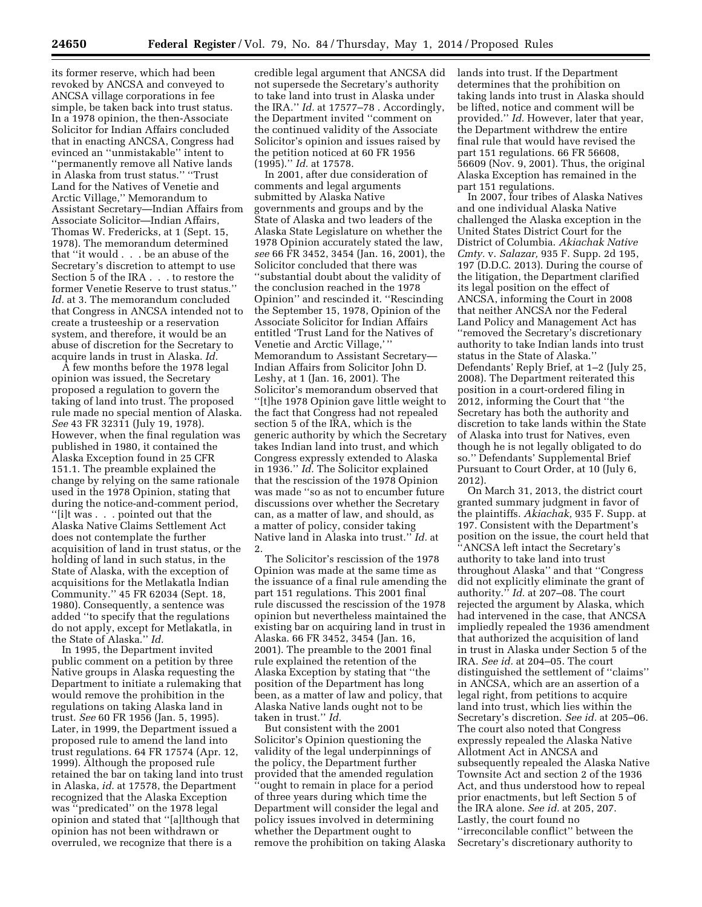its former reserve, which had been revoked by ANCSA and conveyed to ANCSA village corporations in fee simple, be taken back into trust status. In a 1978 opinion, the then-Associate Solicitor for Indian Affairs concluded that in enacting ANCSA, Congress had evinced an ''unmistakable'' intent to ''permanently remove all Native lands in Alaska from trust status.'' ''Trust Land for the Natives of Venetie and Arctic Village,'' Memorandum to Assistant Secretary—Indian Affairs from Associate Solicitor—Indian Affairs, Thomas W. Fredericks, at 1 (Sept. 15, 1978). The memorandum determined that ''it would . . . be an abuse of the Secretary's discretion to attempt to use Section 5 of the IRA . . . to restore the former Venetie Reserve to trust status.'' *Id.* at 3. The memorandum concluded that Congress in ANCSA intended not to create a trusteeship or a reservation system, and therefore, it would be an abuse of discretion for the Secretary to acquire lands in trust in Alaska. *Id.* 

A few months before the 1978 legal opinion was issued, the Secretary proposed a regulation to govern the taking of land into trust. The proposed rule made no special mention of Alaska. *See* 43 FR 32311 (July 19, 1978). However, when the final regulation was published in 1980, it contained the Alaska Exception found in 25 CFR 151.1. The preamble explained the change by relying on the same rationale used in the 1978 Opinion, stating that during the notice-and-comment period, ''[i]t was . . . pointed out that the Alaska Native Claims Settlement Act does not contemplate the further acquisition of land in trust status, or the holding of land in such status, in the State of Alaska, with the exception of acquisitions for the Metlakatla Indian Community.'' 45 FR 62034 (Sept. 18, 1980). Consequently, a sentence was added ''to specify that the regulations do not apply, except for Metlakatla, in the State of Alaska.'' *Id.* 

In 1995, the Department invited public comment on a petition by three Native groups in Alaska requesting the Department to initiate a rulemaking that would remove the prohibition in the regulations on taking Alaska land in trust. *See* 60 FR 1956 (Jan. 5, 1995). Later, in 1999, the Department issued a proposed rule to amend the land into trust regulations. 64 FR 17574 (Apr. 12, 1999). Although the proposed rule retained the bar on taking land into trust in Alaska, *id.* at 17578, the Department recognized that the Alaska Exception was ''predicated'' on the 1978 legal opinion and stated that ''[a]lthough that opinion has not been withdrawn or overruled, we recognize that there is a

credible legal argument that ANCSA did not supersede the Secretary's authority to take land into trust in Alaska under the IRA.'' *Id.* at 17577–78 . Accordingly, the Department invited ''comment on the continued validity of the Associate Solicitor's opinion and issues raised by the petition noticed at 60 FR 1956 (1995).'' *Id.* at 17578.

In 2001, after due consideration of comments and legal arguments submitted by Alaska Native governments and groups and by the State of Alaska and two leaders of the Alaska State Legislature on whether the 1978 Opinion accurately stated the law, *see* 66 FR 3452, 3454 (Jan. 16, 2001), the Solicitor concluded that there was ''substantial doubt about the validity of the conclusion reached in the 1978 Opinion'' and rescinded it. ''Rescinding the September 15, 1978, Opinion of the Associate Solicitor for Indian Affairs entitled 'Trust Land for the Natives of Venetie and Arctic Village,' '' Memorandum to Assistant Secretary— Indian Affairs from Solicitor John D. Leshy, at 1 (Jan. 16, 2001). The Solicitor's memorandum observed that ''[t]he 1978 Opinion gave little weight to the fact that Congress had not repealed section 5 of the IRA, which is the generic authority by which the Secretary takes Indian land into trust, and which Congress expressly extended to Alaska in 1936.'' *Id.* The Solicitor explained that the rescission of the 1978 Opinion was made ''so as not to encumber future discussions over whether the Secretary can, as a matter of law, and should, as a matter of policy, consider taking Native land in Alaska into trust.'' *Id.* at 2.

The Solicitor's rescission of the 1978 Opinion was made at the same time as the issuance of a final rule amending the part 151 regulations. This 2001 final rule discussed the rescission of the 1978 opinion but nevertheless maintained the existing bar on acquiring land in trust in Alaska. 66 FR 3452, 3454 (Jan. 16, 2001). The preamble to the 2001 final rule explained the retention of the Alaska Exception by stating that ''the position of the Department has long been, as a matter of law and policy, that Alaska Native lands ought not to be taken in trust.'' *Id.* 

But consistent with the 2001 Solicitor's Opinion questioning the validity of the legal underpinnings of the policy, the Department further provided that the amended regulation 'ought to remain in place for a period of three years during which time the Department will consider the legal and policy issues involved in determining whether the Department ought to remove the prohibition on taking Alaska lands into trust. If the Department determines that the prohibition on taking lands into trust in Alaska should be lifted, notice and comment will be provided." *Id.* However, later that year, the Department withdrew the entire final rule that would have revised the part 151 regulations. 66 FR 56608, 56609 (Nov. 9, 2001). Thus, the original Alaska Exception has remained in the part 151 regulations.

In 2007, four tribes of Alaska Natives and one individual Alaska Native challenged the Alaska exception in the United States District Court for the District of Columbia. *Akiachak Native Cmty.* v. *Salazar,* 935 F. Supp. 2d 195, 197 (D.D.C. 2013). During the course of the litigation, the Department clarified its legal position on the effect of ANCSA, informing the Court in 2008 that neither ANCSA nor the Federal Land Policy and Management Act has ''removed the Secretary's discretionary authority to take Indian lands into trust status in the State of Alaska.'' Defendants' Reply Brief, at 1–2 (July 25, 2008). The Department reiterated this position in a court-ordered filing in 2012, informing the Court that ''the Secretary has both the authority and discretion to take lands within the State of Alaska into trust for Natives, even though he is not legally obligated to do so.'' Defendants' Supplemental Brief Pursuant to Court Order, at 10 (July 6, 2012).

On March 31, 2013, the district court granted summary judgment in favor of the plaintiffs. *Akiachak,* 935 F. Supp. at 197. Consistent with the Department's position on the issue, the court held that ''ANCSA left intact the Secretary's authority to take land into trust throughout Alaska'' and that ''Congress did not explicitly eliminate the grant of authority.'' *Id.* at 207–08. The court rejected the argument by Alaska, which had intervened in the case, that ANCSA impliedly repealed the 1936 amendment that authorized the acquisition of land in trust in Alaska under Section 5 of the IRA. *See id.* at 204–05. The court distinguished the settlement of ''claims'' in ANCSA, which are an assertion of a legal right, from petitions to acquire land into trust, which lies within the Secretary's discretion. *See id.* at 205–06. The court also noted that Congress expressly repealed the Alaska Native Allotment Act in ANCSA and subsequently repealed the Alaska Native Townsite Act and section 2 of the 1936 Act, and thus understood how to repeal prior enactments, but left Section 5 of the IRA alone. *See id.* at 205, 207. Lastly, the court found no ''irreconcilable conflict'' between the Secretary's discretionary authority to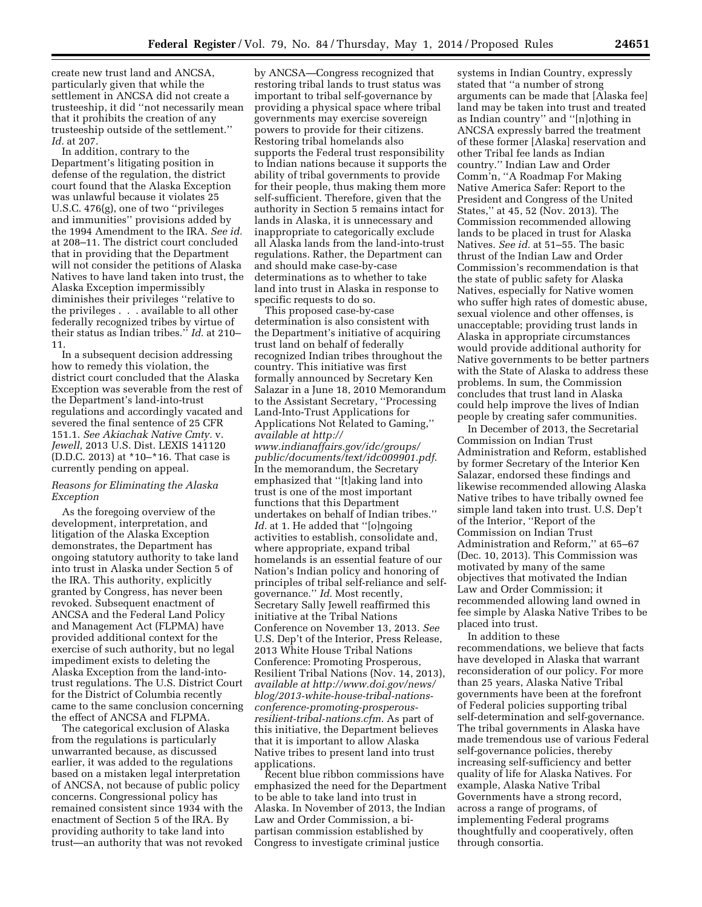create new trust land and ANCSA, particularly given that while the settlement in ANCSA did not create a trusteeship, it did ''not necessarily mean that it prohibits the creation of any trusteeship outside of the settlement.'' *Id.* at 207.

In addition, contrary to the Department's litigating position in defense of the regulation, the district court found that the Alaska Exception was unlawful because it violates 25 U.S.C. 476(g), one of two ''privileges and immunities'' provisions added by the 1994 Amendment to the IRA. *See id.*  at 208–11. The district court concluded that in providing that the Department will not consider the petitions of Alaska Natives to have land taken into trust, the Alaska Exception impermissibly diminishes their privileges ''relative to the privileges . . . available to all other federally recognized tribes by virtue of their status as Indian tribes.'' *Id.* at 210– 11.

In a subsequent decision addressing how to remedy this violation, the district court concluded that the Alaska Exception was severable from the rest of the Department's land-into-trust regulations and accordingly vacated and severed the final sentence of 25 CFR 151.1. *See Akiachak Native Cmty.* v. *Jewell,* 2013 U.S. Dist. LEXIS 141120 (D.D.C. 2013) at \*10–\*16. That case is currently pending on appeal.

### *Reasons for Eliminating the Alaska Exception*

As the foregoing overview of the development, interpretation, and litigation of the Alaska Exception demonstrates, the Department has ongoing statutory authority to take land into trust in Alaska under Section 5 of the IRA. This authority, explicitly granted by Congress, has never been revoked. Subsequent enactment of ANCSA and the Federal Land Policy and Management Act (FLPMA) have provided additional context for the exercise of such authority, but no legal impediment exists to deleting the Alaska Exception from the land-intotrust regulations. The U.S. District Court for the District of Columbia recently came to the same conclusion concerning the effect of ANCSA and FLPMA.

The categorical exclusion of Alaska from the regulations is particularly unwarranted because, as discussed earlier, it was added to the regulations based on a mistaken legal interpretation of ANCSA, not because of public policy concerns. Congressional policy has remained consistent since 1934 with the enactment of Section 5 of the IRA. By providing authority to take land into trust—an authority that was not revoked

by ANCSA—Congress recognized that restoring tribal lands to trust status was important to tribal self-governance by providing a physical space where tribal governments may exercise sovereign powers to provide for their citizens. Restoring tribal homelands also supports the Federal trust responsibility to Indian nations because it supports the ability of tribal governments to provide for their people, thus making them more self-sufficient. Therefore, given that the authority in Section 5 remains intact for lands in Alaska, it is unnecessary and inappropriate to categorically exclude all Alaska lands from the land-into-trust regulations. Rather, the Department can and should make case-by-case determinations as to whether to take land into trust in Alaska in response to specific requests to do so.

This proposed case-by-case determination is also consistent with the Department's initiative of acquiring trust land on behalf of federally recognized Indian tribes throughout the country. This initiative was first formally announced by Secretary Ken Salazar in a June 18, 2010 Memorandum to the Assistant Secretary, ''Processing Land-Into-Trust Applications for Applications Not Related to Gaming,'' *available at [http://](http://www.indianaffairs.gov/idc/groups/public/documents/text/idc009901.pdf) [www.indianaffairs.gov/idc/groups/](http://www.indianaffairs.gov/idc/groups/public/documents/text/idc009901.pdf) [public/documents/text/idc009901.pdf](http://www.indianaffairs.gov/idc/groups/public/documents/text/idc009901.pdf)*. In the memorandum, the Secretary emphasized that ''[t]aking land into trust is one of the most important functions that this Department undertakes on behalf of Indian tribes.'' Id. at 1. He added that "[o]ngoing activities to establish, consolidate and, where appropriate, expand tribal homelands is an essential feature of our Nation's Indian policy and honoring of principles of tribal self-reliance and selfgovernance.'' *Id.* Most recently, Secretary Sally Jewell reaffirmed this initiative at the Tribal Nations Conference on November 13, 2013. *See*  U.S. Dep't of the Interior, Press Release, 2013 White House Tribal Nations Conference: Promoting Prosperous, Resilient Tribal Nations (Nov. 14, 2013), *available at [http://www.doi.gov/news/](http://www.doi.gov/news/blog/2013-white-house-tribal-nations-conference-promoting-prosperous-resilient-tribal-nations.cfm) [blog/2013-white-house-tribal-nations](http://www.doi.gov/news/blog/2013-white-house-tribal-nations-conference-promoting-prosperous-resilient-tribal-nations.cfm)[conference-promoting-prosperous](http://www.doi.gov/news/blog/2013-white-house-tribal-nations-conference-promoting-prosperous-resilient-tribal-nations.cfm)[resilient-tribal-nations.cfm](http://www.doi.gov/news/blog/2013-white-house-tribal-nations-conference-promoting-prosperous-resilient-tribal-nations.cfm)*. As part of this initiative, the Department believes that it is important to allow Alaska Native tribes to present land into trust applications.

Recent blue ribbon commissions have emphasized the need for the Department to be able to take land into trust in Alaska. In November of 2013, the Indian Law and Order Commission, a bipartisan commission established by Congress to investigate criminal justice

systems in Indian Country, expressly stated that ''a number of strong arguments can be made that [Alaska fee] land may be taken into trust and treated as Indian country'' and ''[n]othing in ANCSA expressly barred the treatment of these former [Alaska] reservation and other Tribal fee lands as Indian country.'' Indian Law and Order Comm'n, ''A Roadmap For Making Native America Safer: Report to the President and Congress of the United States,'' at 45, 52 (Nov. 2013). The Commission recommended allowing lands to be placed in trust for Alaska Natives. *See id.* at 51–55. The basic thrust of the Indian Law and Order Commission's recommendation is that the state of public safety for Alaska Natives, especially for Native women who suffer high rates of domestic abuse, sexual violence and other offenses, is unacceptable; providing trust lands in Alaska in appropriate circumstances would provide additional authority for Native governments to be better partners with the State of Alaska to address these problems. In sum, the Commission concludes that trust land in Alaska could help improve the lives of Indian people by creating safer communities.

In December of 2013, the Secretarial Commission on Indian Trust Administration and Reform, established by former Secretary of the Interior Ken Salazar, endorsed these findings and likewise recommended allowing Alaska Native tribes to have tribally owned fee simple land taken into trust. U.S. Dep't of the Interior, ''Report of the Commission on Indian Trust Administration and Reform,'' at 65–67 (Dec. 10, 2013). This Commission was motivated by many of the same objectives that motivated the Indian Law and Order Commission; it recommended allowing land owned in fee simple by Alaska Native Tribes to be placed into trust.

In addition to these recommendations, we believe that facts have developed in Alaska that warrant reconsideration of our policy. For more than 25 years, Alaska Native Tribal governments have been at the forefront of Federal policies supporting tribal self-determination and self-governance. The tribal governments in Alaska have made tremendous use of various Federal self-governance policies, thereby increasing self-sufficiency and better quality of life for Alaska Natives. For example, Alaska Native Tribal Governments have a strong record, across a range of programs, of implementing Federal programs thoughtfully and cooperatively, often through consortia.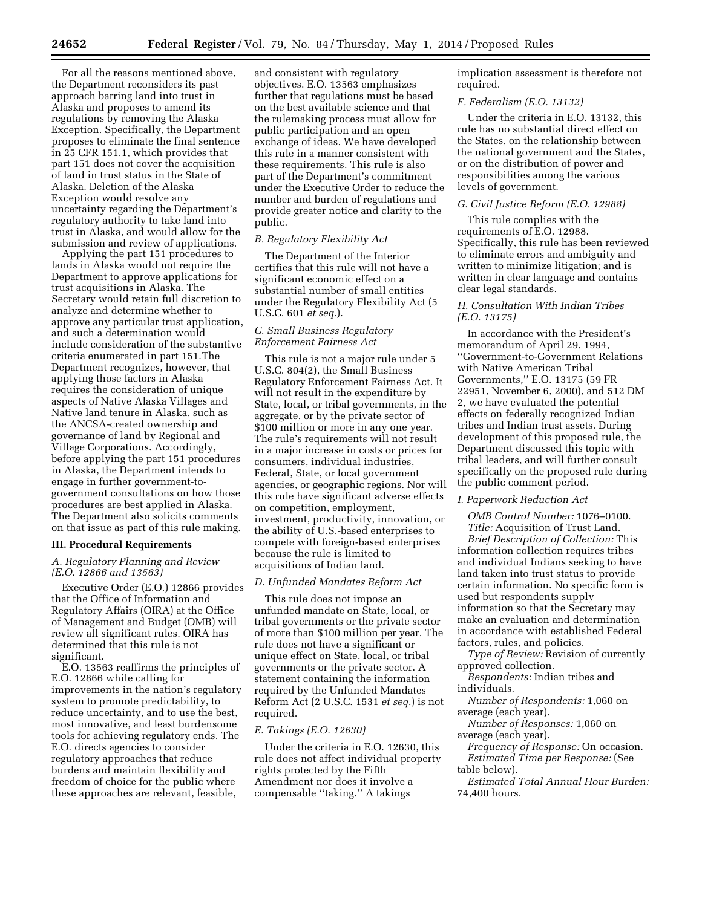For all the reasons mentioned above, the Department reconsiders its past approach barring land into trust in Alaska and proposes to amend its regulations by removing the Alaska Exception. Specifically, the Department proposes to eliminate the final sentence in 25 CFR 151.1, which provides that part 151 does not cover the acquisition of land in trust status in the State of Alaska. Deletion of the Alaska Exception would resolve any uncertainty regarding the Department's regulatory authority to take land into trust in Alaska, and would allow for the submission and review of applications.

Applying the part 151 procedures to lands in Alaska would not require the Department to approve applications for trust acquisitions in Alaska. The Secretary would retain full discretion to analyze and determine whether to approve any particular trust application, and such a determination would include consideration of the substantive criteria enumerated in part 151.The Department recognizes, however, that applying those factors in Alaska requires the consideration of unique aspects of Native Alaska Villages and Native land tenure in Alaska, such as the ANCSA-created ownership and governance of land by Regional and Village Corporations. Accordingly, before applying the part 151 procedures in Alaska, the Department intends to engage in further government-togovernment consultations on how those procedures are best applied in Alaska. The Department also solicits comments on that issue as part of this rule making.

## **III. Procedural Requirements**

### *A. Regulatory Planning and Review (E.O. 12866 and 13563)*

Executive Order (E.O.) 12866 provides that the Office of Information and Regulatory Affairs (OIRA) at the Office of Management and Budget (OMB) will review all significant rules. OIRA has determined that this rule is not significant.

E.O. 13563 reaffirms the principles of E.O. 12866 while calling for improvements in the nation's regulatory system to promote predictability, to reduce uncertainty, and to use the best, most innovative, and least burdensome tools for achieving regulatory ends. The E.O. directs agencies to consider regulatory approaches that reduce burdens and maintain flexibility and freedom of choice for the public where these approaches are relevant, feasible,

and consistent with regulatory objectives. E.O. 13563 emphasizes further that regulations must be based on the best available science and that the rulemaking process must allow for public participation and an open exchange of ideas. We have developed this rule in a manner consistent with these requirements. This rule is also part of the Department's commitment under the Executive Order to reduce the number and burden of regulations and provide greater notice and clarity to the public.

# *B. Regulatory Flexibility Act*

The Department of the Interior certifies that this rule will not have a significant economic effect on a substantial number of small entities under the Regulatory Flexibility Act (5 U.S.C. 601 *et seq.*).

### *C. Small Business Regulatory Enforcement Fairness Act*

This rule is not a major rule under 5 U.S.C. 804(2), the Small Business Regulatory Enforcement Fairness Act. It will not result in the expenditure by State, local, or tribal governments, in the aggregate, or by the private sector of \$100 million or more in any one year. The rule's requirements will not result in a major increase in costs or prices for consumers, individual industries, Federal, State, or local government agencies, or geographic regions. Nor will this rule have significant adverse effects on competition, employment, investment, productivity, innovation, or the ability of U.S.-based enterprises to compete with foreign-based enterprises because the rule is limited to acquisitions of Indian land.

#### *D. Unfunded Mandates Reform Act*

This rule does not impose an unfunded mandate on State, local, or tribal governments or the private sector of more than \$100 million per year. The rule does not have a significant or unique effect on State, local, or tribal governments or the private sector. A statement containing the information required by the Unfunded Mandates Reform Act (2 U.S.C. 1531 *et seq.*) is not required.

#### *E. Takings (E.O. 12630)*

Under the criteria in E.O. 12630, this rule does not affect individual property rights protected by the Fifth Amendment nor does it involve a compensable ''taking.'' A takings

implication assessment is therefore not required.

### *F. Federalism (E.O. 13132)*

Under the criteria in E.O. 13132, this rule has no substantial direct effect on the States, on the relationship between the national government and the States, or on the distribution of power and responsibilities among the various levels of government.

#### *G. Civil Justice Reform (E.O. 12988)*

This rule complies with the requirements of E.O. 12988. Specifically, this rule has been reviewed to eliminate errors and ambiguity and written to minimize litigation; and is written in clear language and contains clear legal standards.

### *H. Consultation With Indian Tribes (E.O. 13175)*

In accordance with the President's memorandum of April 29, 1994, ''Government-to-Government Relations with Native American Tribal Governments,'' E.O. 13175 (59 FR 22951, November 6, 2000), and 512 DM 2, we have evaluated the potential effects on federally recognized Indian tribes and Indian trust assets. During development of this proposed rule, the Department discussed this topic with tribal leaders, and will further consult specifically on the proposed rule during the public comment period.

#### *I. Paperwork Reduction Act*

*OMB Control Number:* 1076–0100. *Title:* Acquisition of Trust Land. *Brief Description of Collection:* This information collection requires tribes and individual Indians seeking to have land taken into trust status to provide certain information. No specific form is used but respondents supply information so that the Secretary may make an evaluation and determination in accordance with established Federal factors, rules, and policies.

*Type of Review:* Revision of currently approved collection.

*Respondents:* Indian tribes and individuals.

*Number of Respondents:* 1,060 on average (each year).

*Number of Responses:* 1,060 on average (each year).

*Frequency of Response:* On occasion. *Estimated Time per Response:* (See

table below).

*Estimated Total Annual Hour Burden:*  74,400 hours.